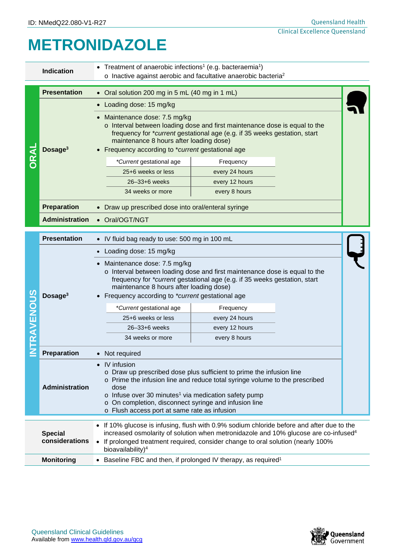## **METRONIDAZOLE**

| Treatment of anaerobic infections <sup>1</sup> (e.g. bacteraemia <sup>1</sup> )<br><b>Indication</b><br>o Inactive against aerobic and facultative anaerobic bacteria <sup>2</sup> |                                  |                                                                                                                                                                                                                                                                                                                                                               |                |  |  |  |
|------------------------------------------------------------------------------------------------------------------------------------------------------------------------------------|----------------------------------|---------------------------------------------------------------------------------------------------------------------------------------------------------------------------------------------------------------------------------------------------------------------------------------------------------------------------------------------------------------|----------------|--|--|--|
|                                                                                                                                                                                    | <b>Presentation</b>              | • Oral solution 200 mg in 5 mL (40 mg in 1 mL)                                                                                                                                                                                                                                                                                                                |                |  |  |  |
|                                                                                                                                                                                    | Dosage $3$                       | Loading dose: 15 mg/kg                                                                                                                                                                                                                                                                                                                                        |                |  |  |  |
|                                                                                                                                                                                    |                                  | Maintenance dose: 7.5 mg/kg<br>o Interval between loading dose and first maintenance dose is equal to the<br>frequency for *current gestational age (e.g. if 35 weeks gestation, start<br>maintenance 8 hours after loading dose)<br>• Frequency according to *current gestational age                                                                        |                |  |  |  |
|                                                                                                                                                                                    |                                  | *Current gestational age                                                                                                                                                                                                                                                                                                                                      | Frequency      |  |  |  |
|                                                                                                                                                                                    |                                  | 25+6 weeks or less                                                                                                                                                                                                                                                                                                                                            | every 24 hours |  |  |  |
|                                                                                                                                                                                    |                                  | 26-33+6 weeks                                                                                                                                                                                                                                                                                                                                                 | every 12 hours |  |  |  |
|                                                                                                                                                                                    |                                  | 34 weeks or more                                                                                                                                                                                                                                                                                                                                              | every 8 hours  |  |  |  |
|                                                                                                                                                                                    | <b>Preparation</b>               | • Draw up prescribed dose into oral/enteral syringe                                                                                                                                                                                                                                                                                                           |                |  |  |  |
|                                                                                                                                                                                    | <b>Administration</b>            | • Oral/OGT/NGT                                                                                                                                                                                                                                                                                                                                                |                |  |  |  |
|                                                                                                                                                                                    |                                  |                                                                                                                                                                                                                                                                                                                                                               |                |  |  |  |
|                                                                                                                                                                                    | <b>Presentation</b>              | • IV fluid bag ready to use: 500 mg in 100 mL                                                                                                                                                                                                                                                                                                                 |                |  |  |  |
| RAVENOUS                                                                                                                                                                           | Dosage <sup>3</sup>              | Loading dose: 15 mg/kg                                                                                                                                                                                                                                                                                                                                        |                |  |  |  |
|                                                                                                                                                                                    |                                  | • Maintenance dose: 7.5 mg/kg<br>o Interval between loading dose and first maintenance dose is equal to the<br>frequency for *current gestational age (e.g. if 35 weeks gestation, start<br>maintenance 8 hours after loading dose)<br>• Frequency according to *current gestational age                                                                      |                |  |  |  |
|                                                                                                                                                                                    |                                  | *Current gestational age                                                                                                                                                                                                                                                                                                                                      | Frequency      |  |  |  |
|                                                                                                                                                                                    |                                  | 25+6 weeks or less                                                                                                                                                                                                                                                                                                                                            | every 24 hours |  |  |  |
|                                                                                                                                                                                    |                                  | 26-33+6 weeks                                                                                                                                                                                                                                                                                                                                                 | every 12 hours |  |  |  |
|                                                                                                                                                                                    |                                  | 34 weeks or more                                                                                                                                                                                                                                                                                                                                              | every 8 hours  |  |  |  |
|                                                                                                                                                                                    | <b>Preparation</b>               | Not required                                                                                                                                                                                                                                                                                                                                                  |                |  |  |  |
|                                                                                                                                                                                    | <b>Administration</b>            | • IV infusion<br>Draw up prescribed dose plus sufficient to prime the infusion line<br>o Prime the infusion line and reduce total syringe volume to the prescribed<br>dose<br>$\circ$ Infuse over 30 minutes <sup>1</sup> via medication safety pump<br>o On completion, disconnect syringe and infusion line<br>o Flush access port at same rate as infusion |                |  |  |  |
|                                                                                                                                                                                    |                                  |                                                                                                                                                                                                                                                                                                                                                               |                |  |  |  |
|                                                                                                                                                                                    | <b>Special</b><br>considerations | • If 10% glucose is infusing, flush with 0.9% sodium chloride before and after due to the<br>increased osmolarity of solution when metronidazole and 10% glucose are co-infused <sup>4</sup>                                                                                                                                                                  |                |  |  |  |
|                                                                                                                                                                                    |                                  | • If prolonged treatment required, consider change to oral solution (nearly 100%<br>bioavailability) <sup>4</sup>                                                                                                                                                                                                                                             |                |  |  |  |
|                                                                                                                                                                                    | <b>Monitoring</b>                | Baseline FBC and then, if prolonged IV therapy, as required <sup>1</sup>                                                                                                                                                                                                                                                                                      |                |  |  |  |